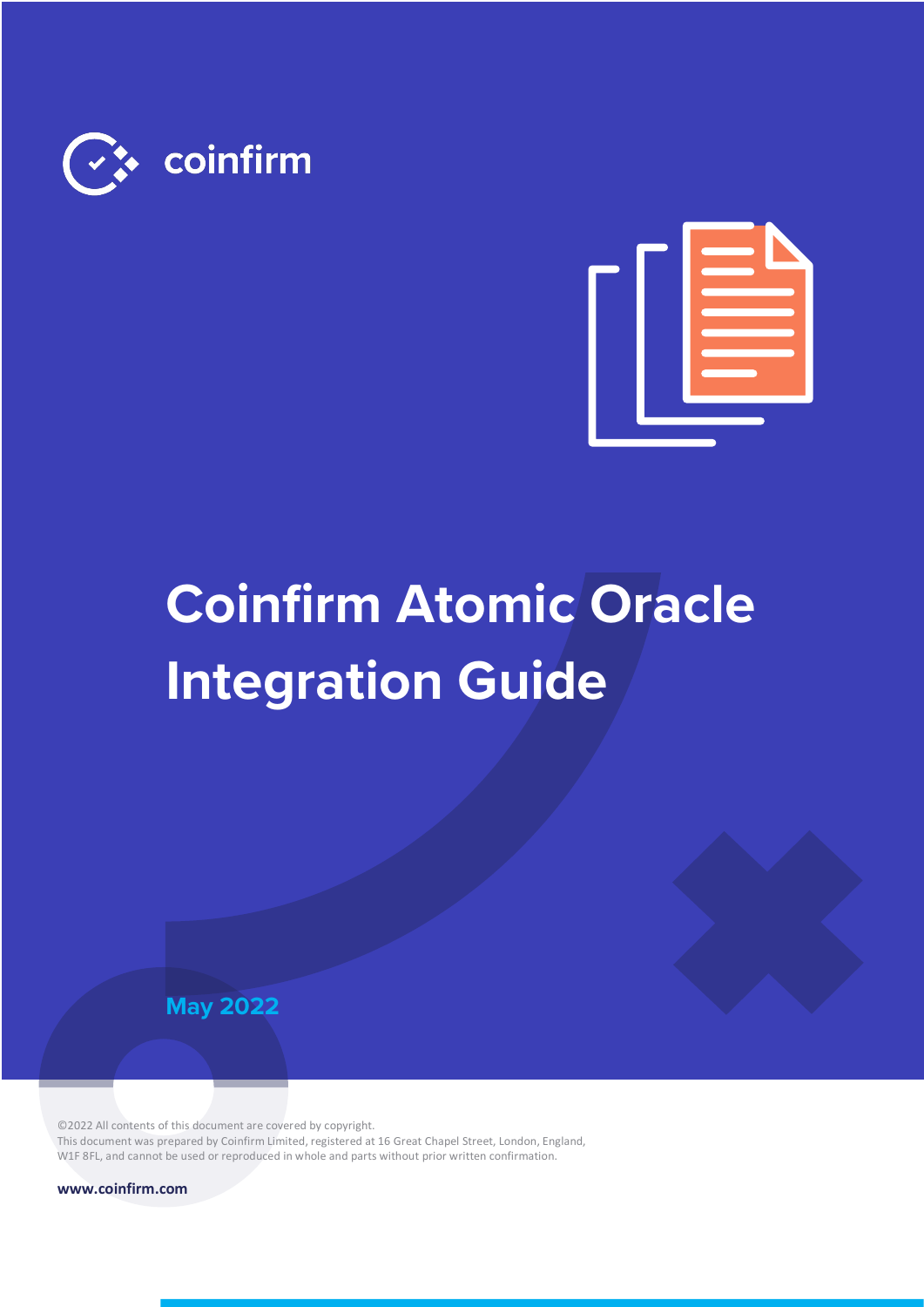



# **Coinfirm Atomic Oracle Integration Guide**



©2022 All contents of this document are covered by copyright. This document was prepared by Coinfirm Limited, registered at 16 Great Chapel Street, London, England, W1F 8FL, and cannot be used or reproduced in whole and parts without prior written confirmation.

**www.coinfirm.com**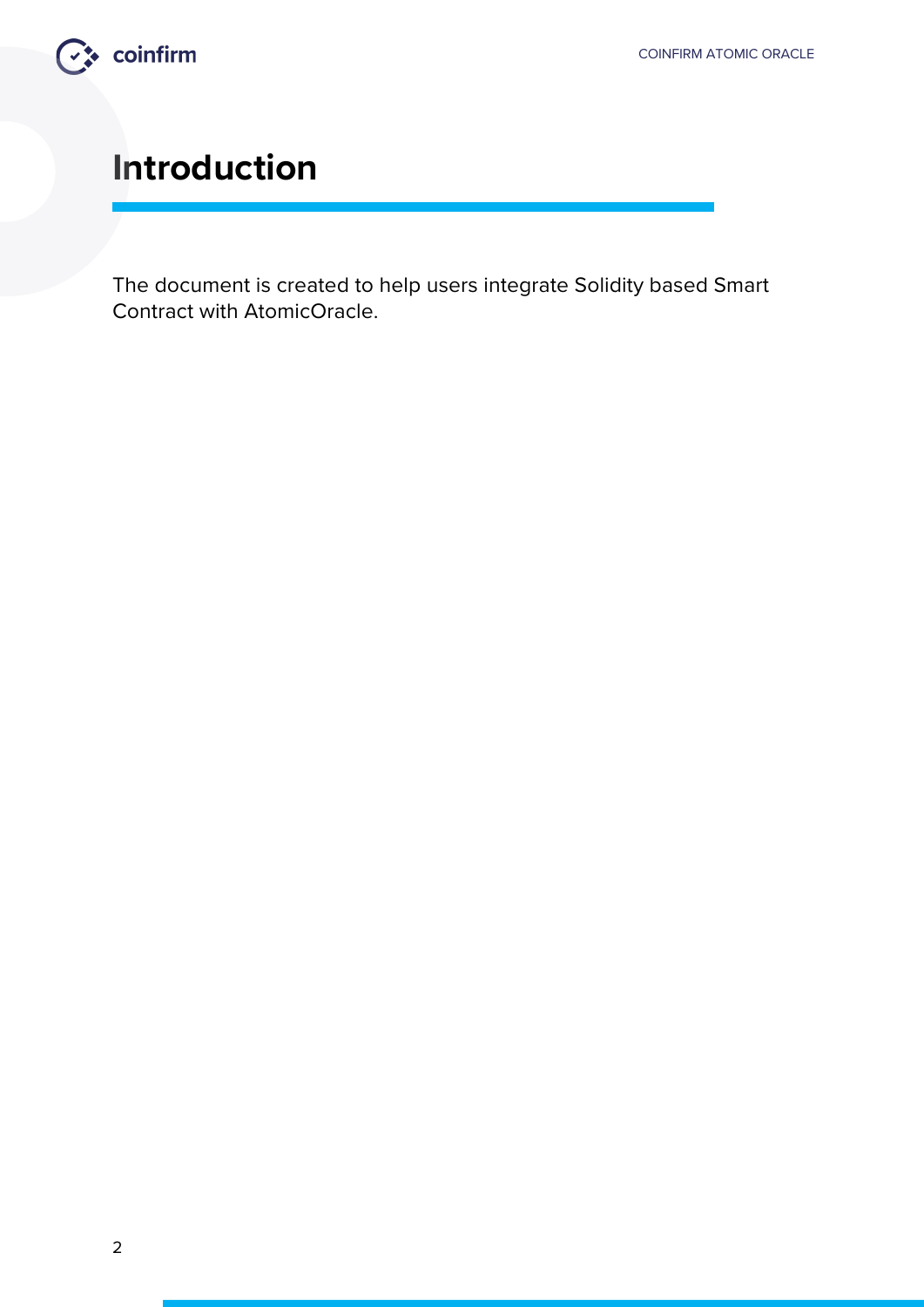

### **Introduction**

The document is created to help users integrate Solidity based Smart Contract with AtomicOracle.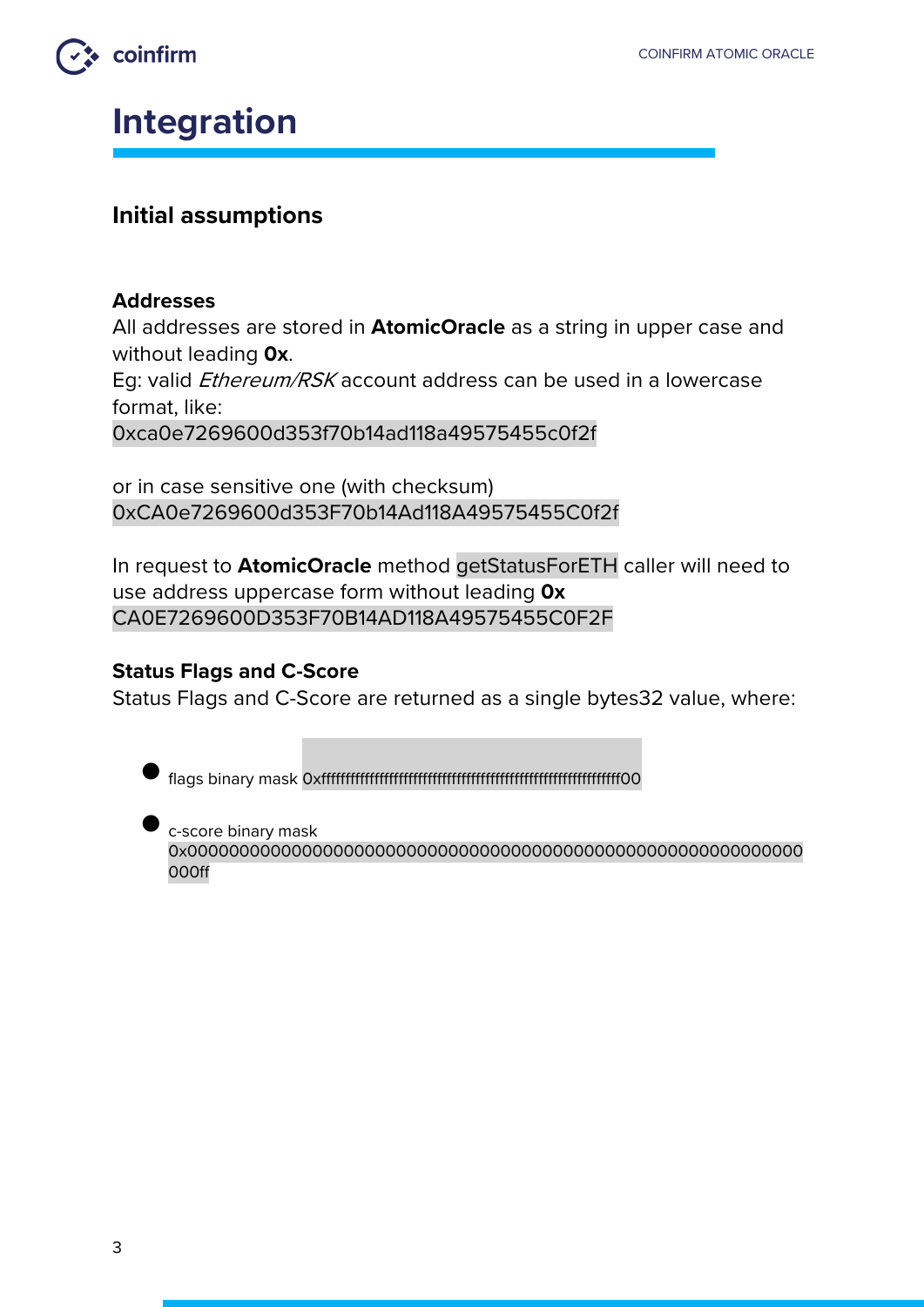

### **Integration**

#### **Initial assumptions**

#### **Addresses**

All addresses are stored in **AtomicOracle** as a string in upper case and without leading **0x**.

Eg: valid *Ethereum/RSK* account address can be used in a lowercase format, like:

0xca0e7269600d353f70b14ad118a49575455c0f2f

or in case sensitive one (with checksum) 0xCA0e7269600d353F70b14Ad118A49575455C0f2f

In request to **AtomicOracle** method getStatusForETH caller will need to use address uppercase form without leading **0x** CA0E7269600D353F70B14AD118A49575455C0F2F

#### **Status Flags and C-Score**

Status Flags and C-Score are returned as a single bytes32 value, where:

• flags binary mask 0xffffffffffffffffffffffffffffffffffffffffffffffffffffffffffffff00

• c-score binary mask 0x00000000000000000000000000000000000000000000000000000000000 000ff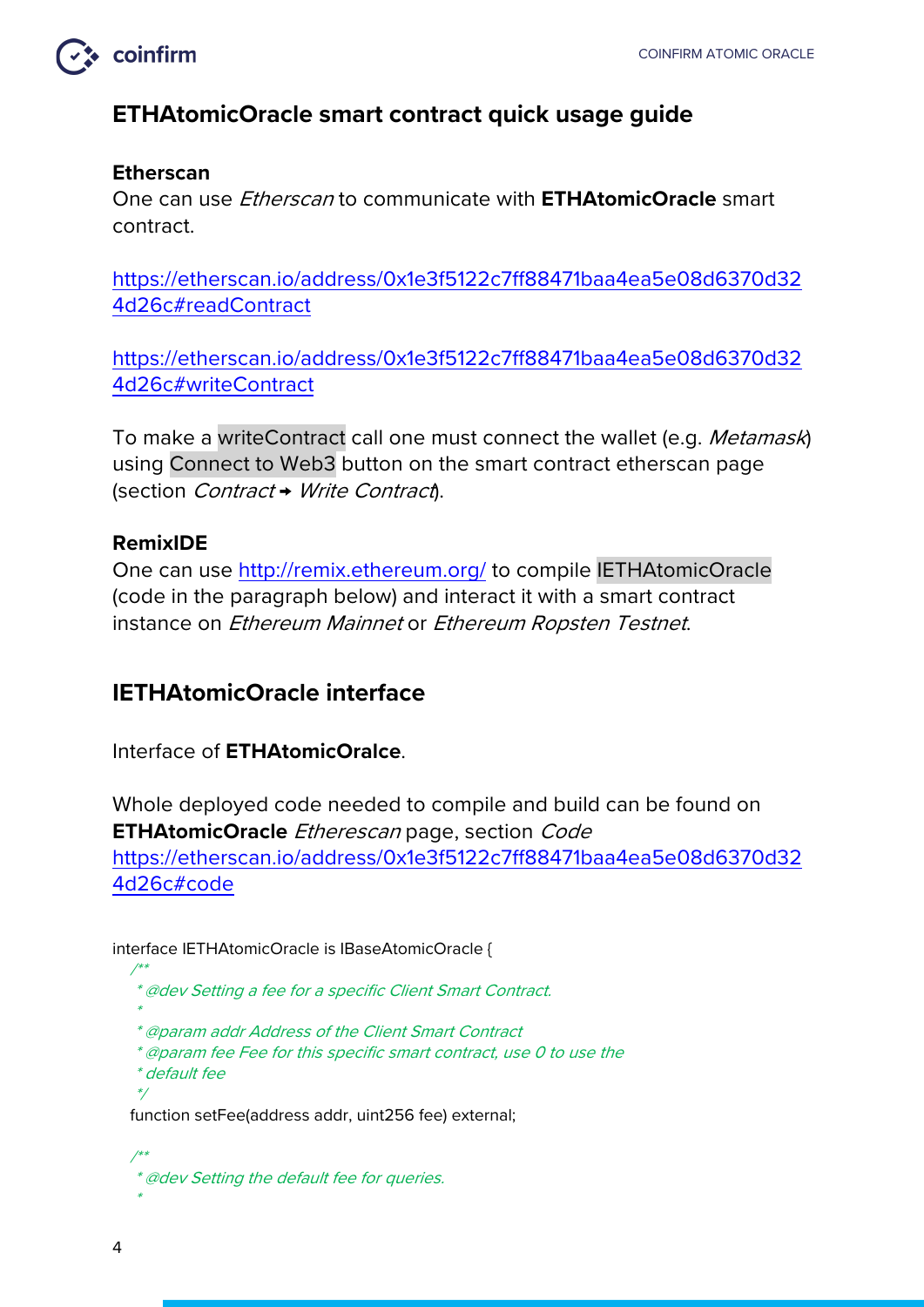

#### **ETHAtomicOracle smart contract quick usage guide**

#### **Etherscan**

One can use Etherscan to communicate with **ETHAtomicOracle** smart contract.

https://etherscan.io/address/0x1e3f5122c7ff88471baa4ea5e08d6370d32 4d26c#readContract

https://etherscan.io/address/0x1e3f5122c7ff88471baa4ea5e08d6370d32 4d26c#writeContract

To make a writeContract call one must connect the wallet (e.g. Metamask) using Connect to Web3 button on the smart contract etherscan page (section Contract → Write Contract).

#### **RemixIDE**

One can use http://remix.ethereum.org/ to compile IETHAtomicOracle (code in the paragraph below) and interact it with a smart contract instance on Ethereum Mainnet or Ethereum Ropsten Testnet.

#### **IETHAtomicOracle interface**

Interface of **ETHAtomicOralce**.

Whole deployed code needed to compile and build can be found on **ETHAtomicOracle** Etherescan page, section Code https://etherscan.io/address/0x1e3f5122c7ff88471baa4ea5e08d6370d32 4d26c#code

interface IETHAtomicOracle is IBaseAtomicOracle {

- /\*\* \* @dev Setting a fee for a specific Client Smart Contract.
	- \* @param addr Address of the Client Smart Contract
	- \* @param fee Fee for this specific smart contract, use 0 to use the
	- \* default fee

function setFee(address addr, uint256 fee) external;

 /\*\* \* @dev Setting the default fee for queries. \*

\*

\*/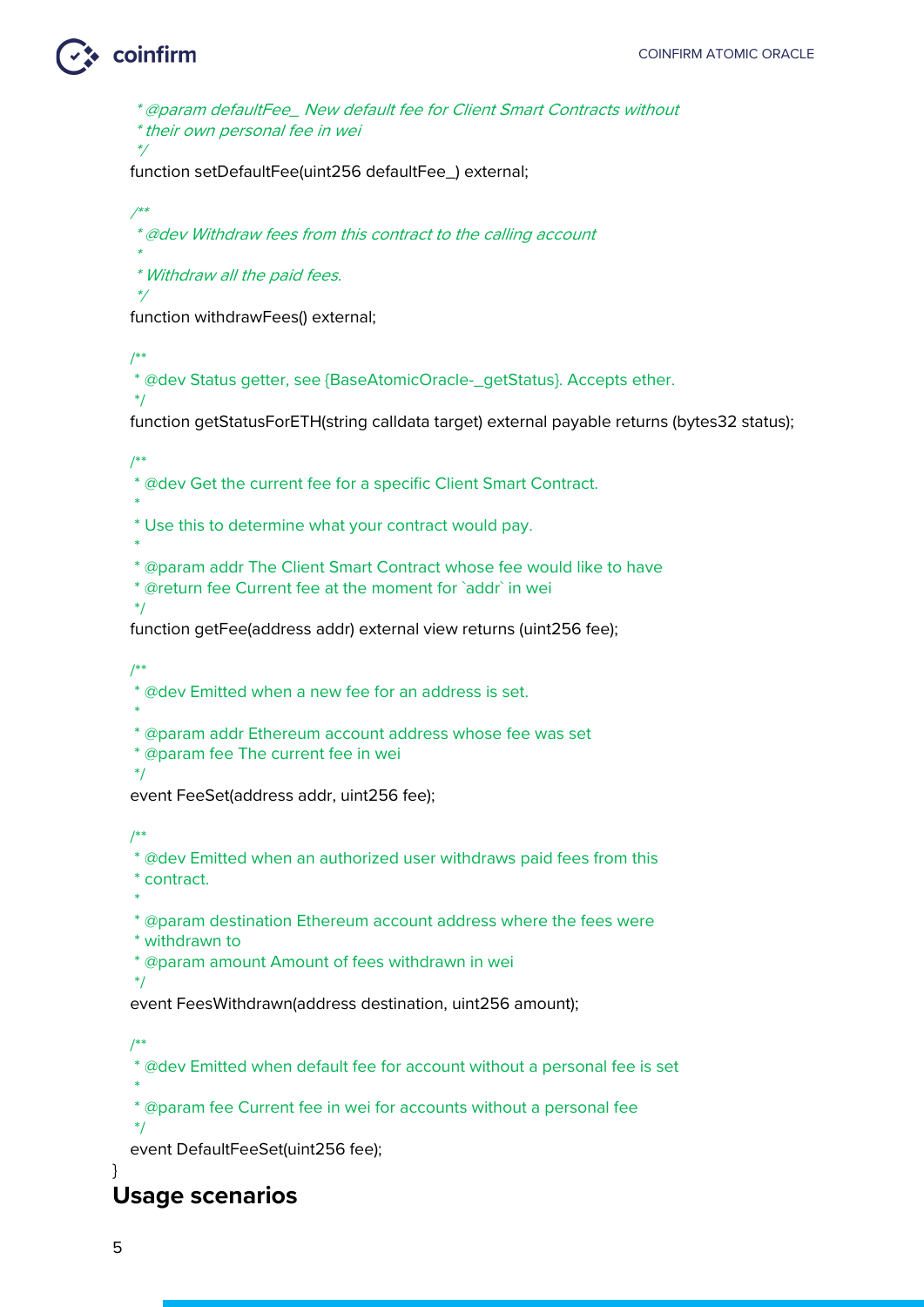\* @param defaultFee\_ New default fee for Client Smart Contracts without \* their own personal fee in wei

\*/

function setDefaultFee(uint256 defaultFee\_) external;

 /\*\* \* @dev Withdraw fees from this contract to the calling account \*

\* Withdraw all the paid fees.

function withdrawFees() external;

/\*\*

\*/

\*/

\* @dev Status getter, see {BaseAtomicOracle-\_getStatus}. Accepts ether.

function getStatusForETH(string calldata target) external payable returns (bytes32 status);

/\*\*

\* @dev Get the current fee for a specific Client Smart Contract.

 $*$ \* Use this to determine what your contract would pay.

 $*$ 

\* @param addr The Client Smart Contract whose fee would like to have

\* @return fee Current fee at the moment for `addr` in wei

\*/

function getFee(address addr) external view returns (uint256 fee);

/\*\*

\* @dev Emitted when a new fee for an address is set.

 $*$ \* @param addr Ethereum account address whose fee was set

\* @param fee The current fee in wei

\*/

event FeeSet(address addr, uint256 fee);

/\*\*

\* @dev Emitted when an authorized user withdraws paid fees from this

\* contract.

 \* \* @param destination Ethereum account address where the fees were

\* withdrawn to

\* @param amount Amount of fees withdrawn in wei

\*/

event FeesWithdrawn(address destination, uint256 amount);

/\*\*

\*/

\* @dev Emitted when default fee for account without a personal fee is set

 \* \* @param fee Current fee in wei for accounts without a personal fee

event DefaultFeeSet(uint256 fee);

#### } **Usage scenarios**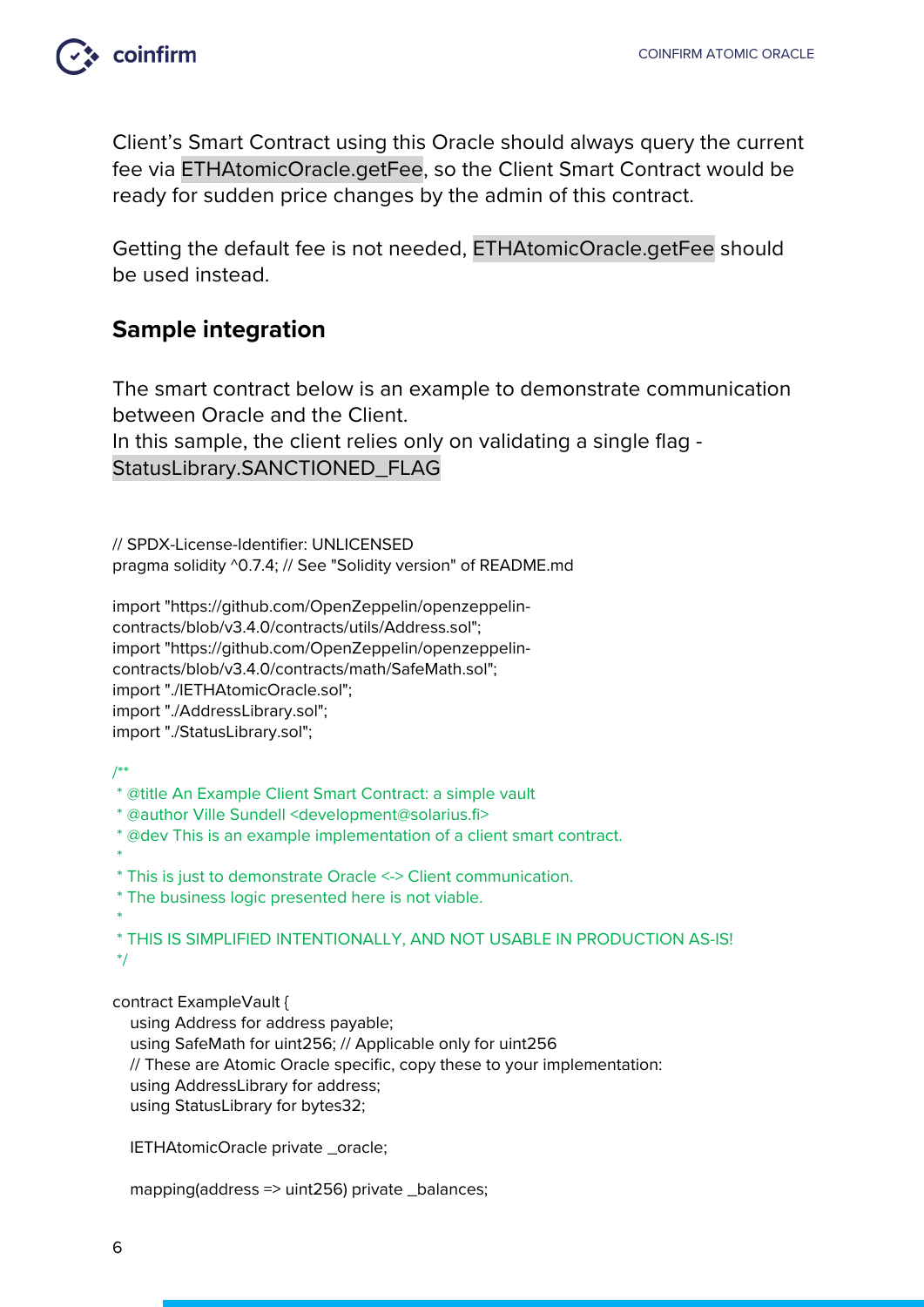

Client's Smart Contract using this Oracle should always query the current fee via ETHAtomicOracle.getFee, so the Client Smart Contract would be ready for sudden price changes by the admin of this contract.

Getting the default fee is not needed, ETHAtomicOracle.getFee should be used instead.

#### **Sample integration**

The smart contract below is an example to demonstrate communication between Oracle and the Client.

In this sample, the client relies only on validating a single flag - StatusLibrary.SANCTIONED\_FLAG

// SPDX-License-Identifier: UNLICENSED pragma solidity ^0.7.4; // See "Solidity version" of README.md

import "https://github.com/OpenZeppelin/openzeppelincontracts/blob/v3.4.0/contracts/utils/Address.sol"; import "https://github.com/OpenZeppelin/openzeppelincontracts/blob/v3.4.0/contracts/math/SafeMath.sol"; import "./IETHAtomicOracle.sol"; import "./AddressLibrary.sol"; import "./StatusLibrary.sol";

/\*\*

- \* @title An Example Client Smart Contract: a simple vault
- \* @author Ville Sundell <development@solarius.fi>
- \* @dev This is an example implementation of a client smart contract.
- \* \* This is just to demonstrate Oracle <-> Client communication.
- \* The business logic presented here is not viable.

\* \* THIS IS SIMPLIFIED INTENTIONALLY, AND NOT USABLE IN PRODUCTION AS-IS! \*/

contract ExampleVault {

using Address for address payable;

using SafeMath for uint256; // Applicable only for uint256

// These are Atomic Oracle specific, copy these to your implementation:

using AddressLibrary for address;

using StatusLibrary for bytes32;

IETHAtomicOracle private \_oracle;

mapping(address => uint256) private \_balances;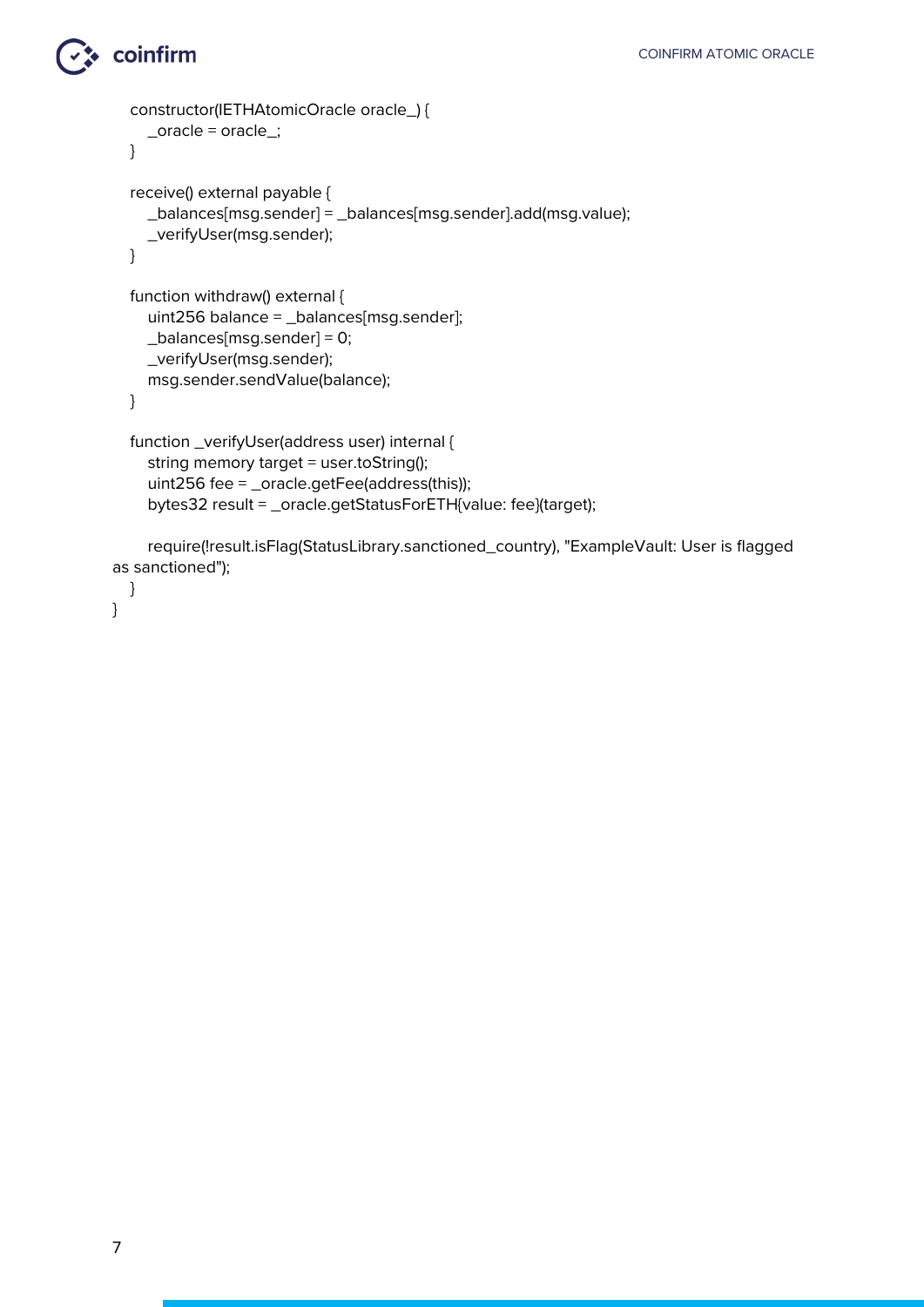```
 constructor(IETHAtomicOracle oracle_) {
     _oracle = oracle_;
   }
   receive() external payable {
     _balances[msg.sender] = _balances[msg.sender].add(msg.value);
     _verifyUser(msg.sender);
   }
   function withdraw() external {
     uint256 balance = _balances[msg.sender];
     _balances[msg.sender] = 0;
     _verifyUser(msg.sender);
     msg.sender.sendValue(balance);
   }
   function _verifyUser(address user) internal {
     string memory target = user.toString();
     uint256 fee = _oracle.getFee(address(this));
     bytes32 result = _oracle.getStatusForETH{value: fee}(target);
     require(!result.isFlag(StatusLibrary.sanctioned_country), "ExampleVault: User is flagged 
as sanctioned");
```

```
 }
```
}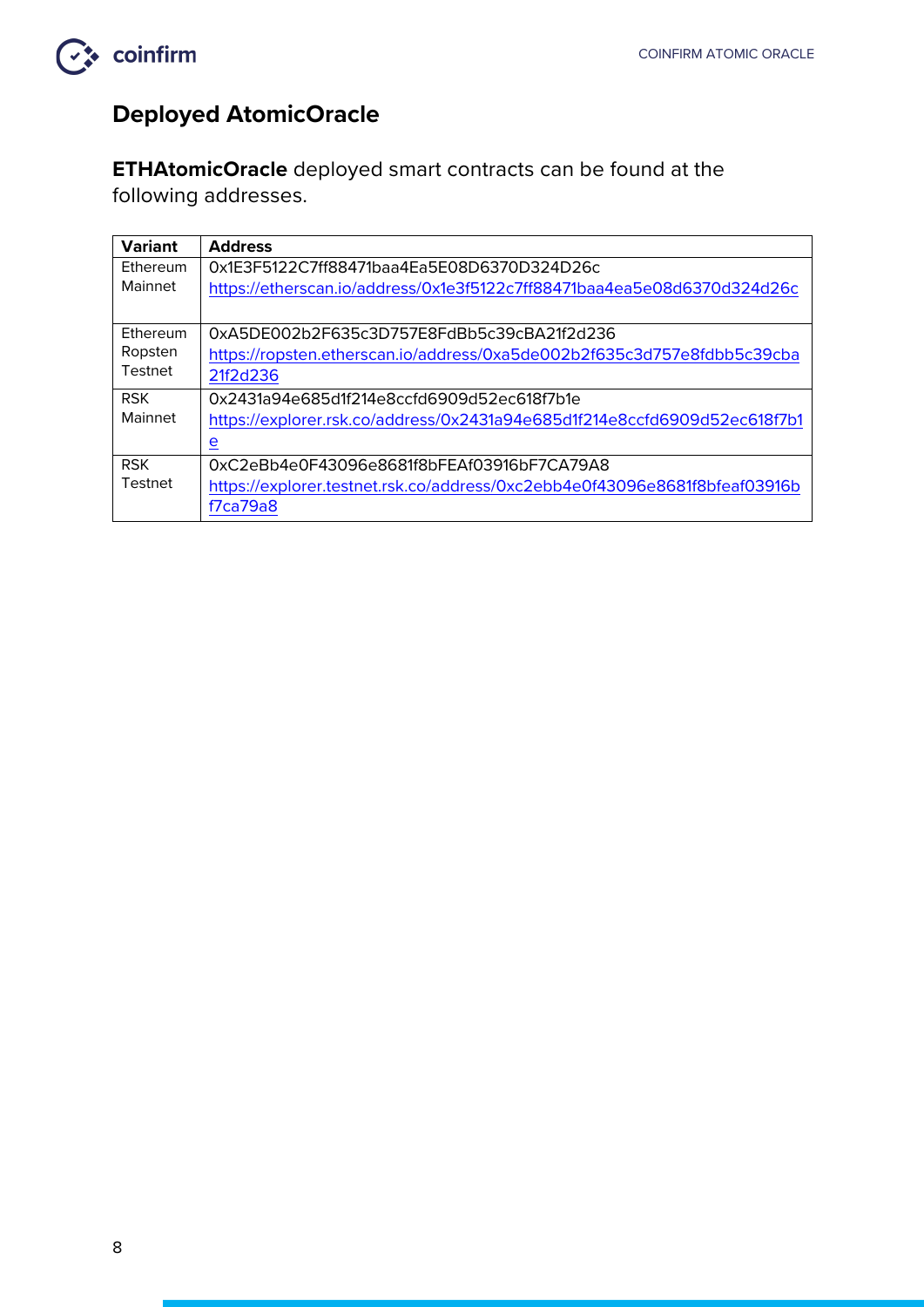

#### **Deployed AtomicOracle**

**ETHAtomicOracle** deployed smart contracts can be found at the following addresses.

| <b>Variant</b>  | <b>Address</b>                                                             |
|-----------------|----------------------------------------------------------------------------|
| <b>Fthereum</b> | 0x1E3F5122C7ff88471baa4Ea5E08D6370D324D26c                                 |
| Mainnet         | https://etherscan.io/address/0x1e3f5122c7ff88471baa4ea5e08d6370d324d26c    |
|                 |                                                                            |
| Ethereum        | 0xA5DE002b2F635c3D757E8FdBb5c39cBA21f2d236                                 |
| Ropsten         | https://ropsten.etherscan.io/address/0xa5de002b2f635c3d757e8fdbb5c39cba    |
| Testnet         | 21f2d236                                                                   |
| <b>RSK</b>      | 0x2431a94e685d1f214e8ccfd6909d52ec618f7b1e                                 |
| Mainnet         | https://explorer.rsk.co/address/0x2431a94e685d1f214e8ccfd6909d52ec618f7b1  |
|                 | <u>e</u>                                                                   |
| <b>RSK</b>      | 0xC2eBb4e0F43096e8681f8bFEAf03916bF7CA79A8                                 |
| Testnet         | https://explorer.testnet.rsk.co/address/0xc2ebb4e0f43096e8681f8bfeaf03916b |
|                 | f7ca79a8                                                                   |
|                 |                                                                            |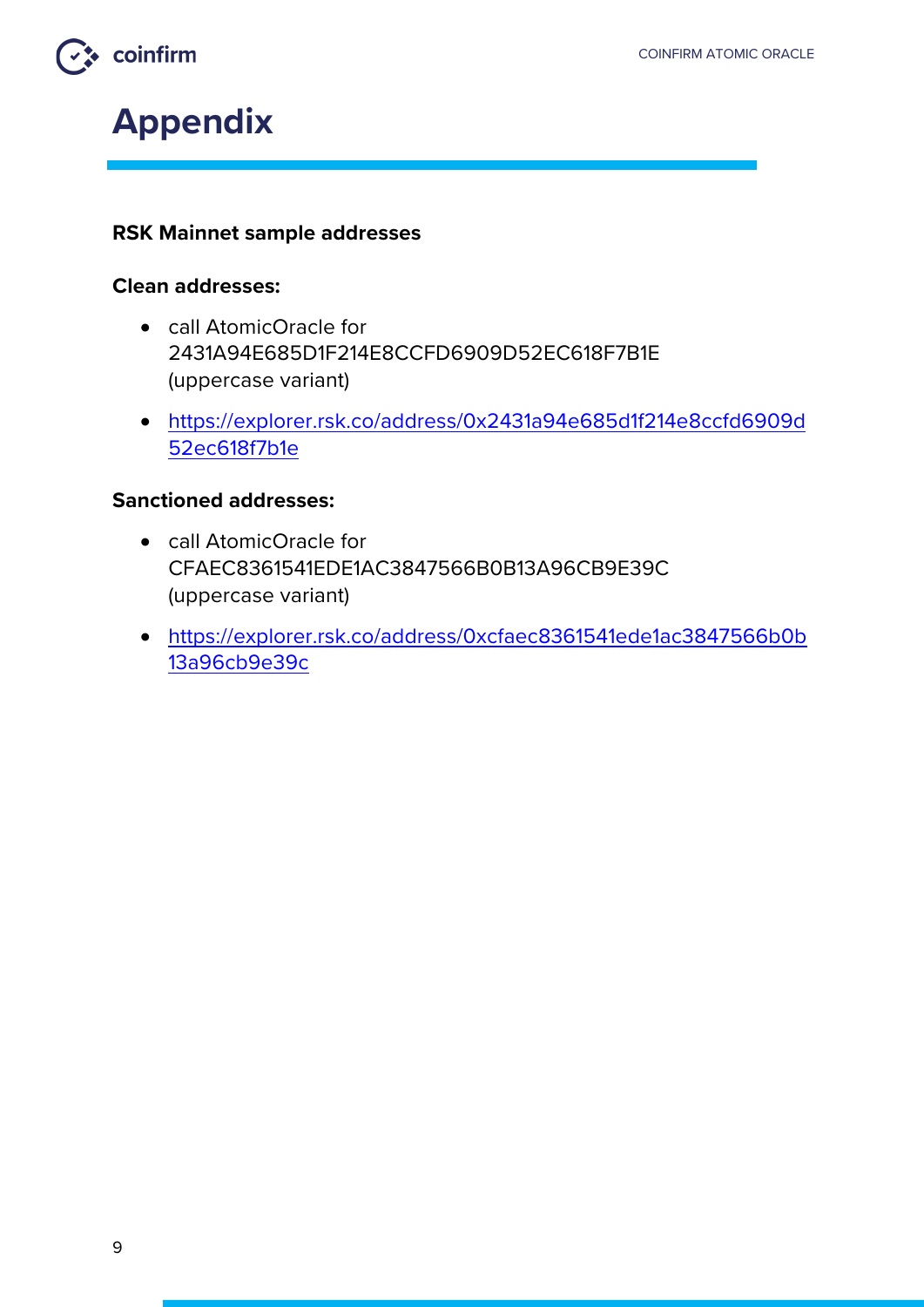



#### **RSK Mainnet sample addresses**

#### **Clean addresses:**

- call AtomicOracle for 2431A94E685D1F214E8CCFD6909D52EC618F7B1E (uppercase variant)
- https://explorer.rsk.co/address/0x2431a94e685d1f214e8ccfd6909d 52ec618f7b1e

#### **Sanctioned addresses:**

- call AtomicOracle for CFAEC8361541EDE1AC3847566B0B13A96CB9E39C (uppercase variant)
- https://explorer.rsk.co/address/0xcfaec8361541ede1ac3847566b0b 13a96cb9e39c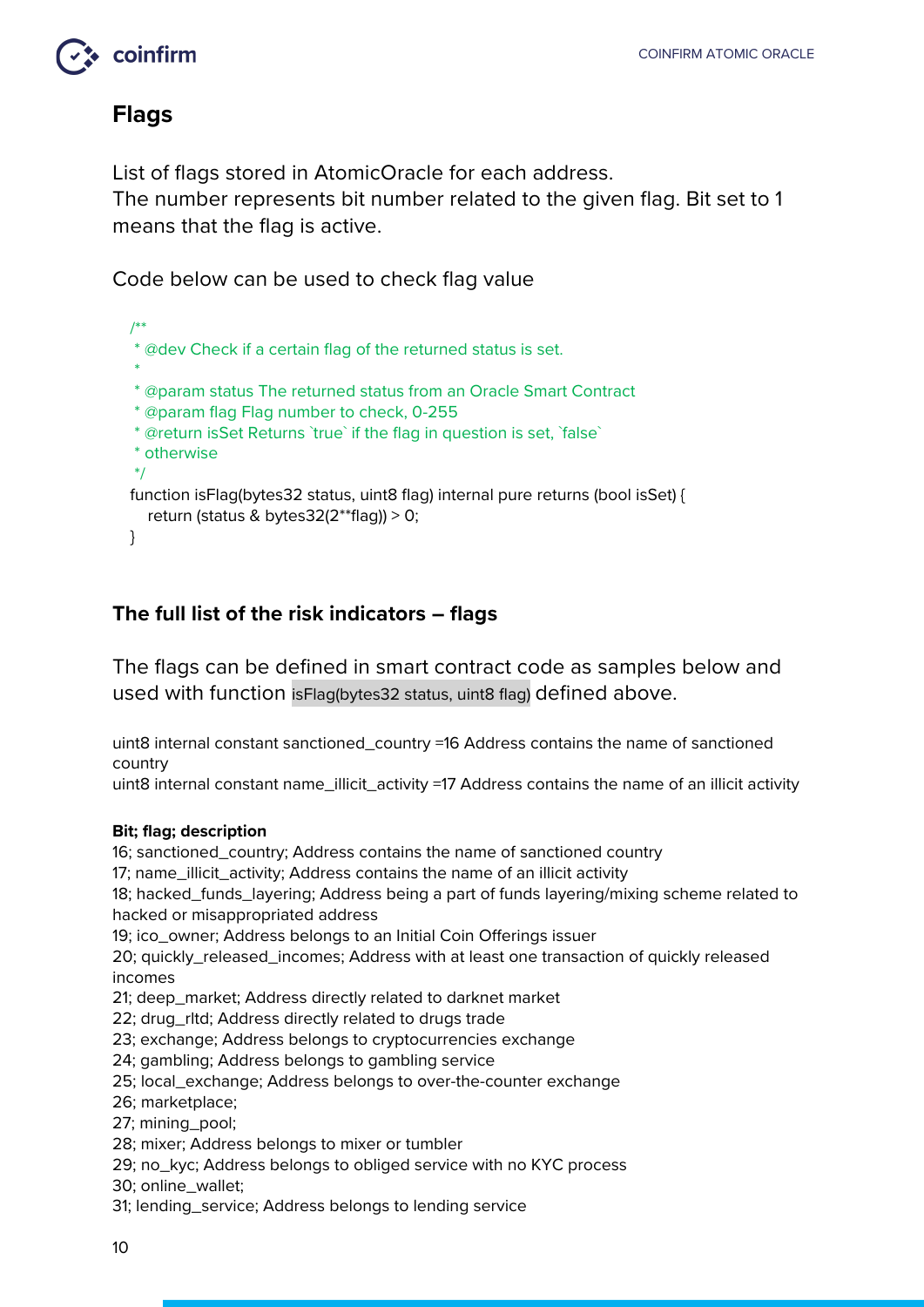#### **Flags**

List of flags stored in AtomicOracle for each address. The number represents bit number related to the given flag. Bit set to 1 means that the flag is active.

Code below can be used to check flag value

```
 /**
   * @dev Check if a certain flag of the returned status is set.
 *
   * @param status The returned status from an Oracle Smart Contract
   * @param flag Flag number to check, 0-255
   * @return isSet Returns `true` if the flag in question is set, `false`
   * otherwise
   */
   function isFlag(bytes32 status, uint8 flag) internal pure returns (bool isSet) {
     return (status & bytes32(2**flag)) > 0;
   }
```
#### **The full list of the risk indicators – flags**

The flags can be defined in smart contract code as samples below and used with function isFlag(bytes32 status, uint8 flag) defined above.

uint8 internal constant sanctioned\_country =16 Address contains the name of sanctioned country

uint8 internal constant name\_illicit\_activity =17 Address contains the name of an illicit activity

#### **Bit; flag; description**

16; sanctioned\_country; Address contains the name of sanctioned country

17; name\_illicit\_activity; Address contains the name of an illicit activity

18; hacked\_funds\_layering; Address being a part of funds layering/mixing scheme related to hacked or misappropriated address

19; ico\_owner; Address belongs to an Initial Coin Offerings issuer

20; quickly\_released\_incomes; Address with at least one transaction of quickly released incomes

21; deep\_market; Address directly related to darknet market

- 22; drug\_rltd; Address directly related to drugs trade
- 23; exchange; Address belongs to cryptocurrencies exchange
- 24; gambling; Address belongs to gambling service

25; local\_exchange; Address belongs to over-the-counter exchange

26; marketplace;

27; mining\_pool;

- 28; mixer; Address belongs to mixer or tumbler
- 29; no\_kyc; Address belongs to obliged service with no KYC process
- 30; online\_wallet;

31; lending\_service; Address belongs to lending service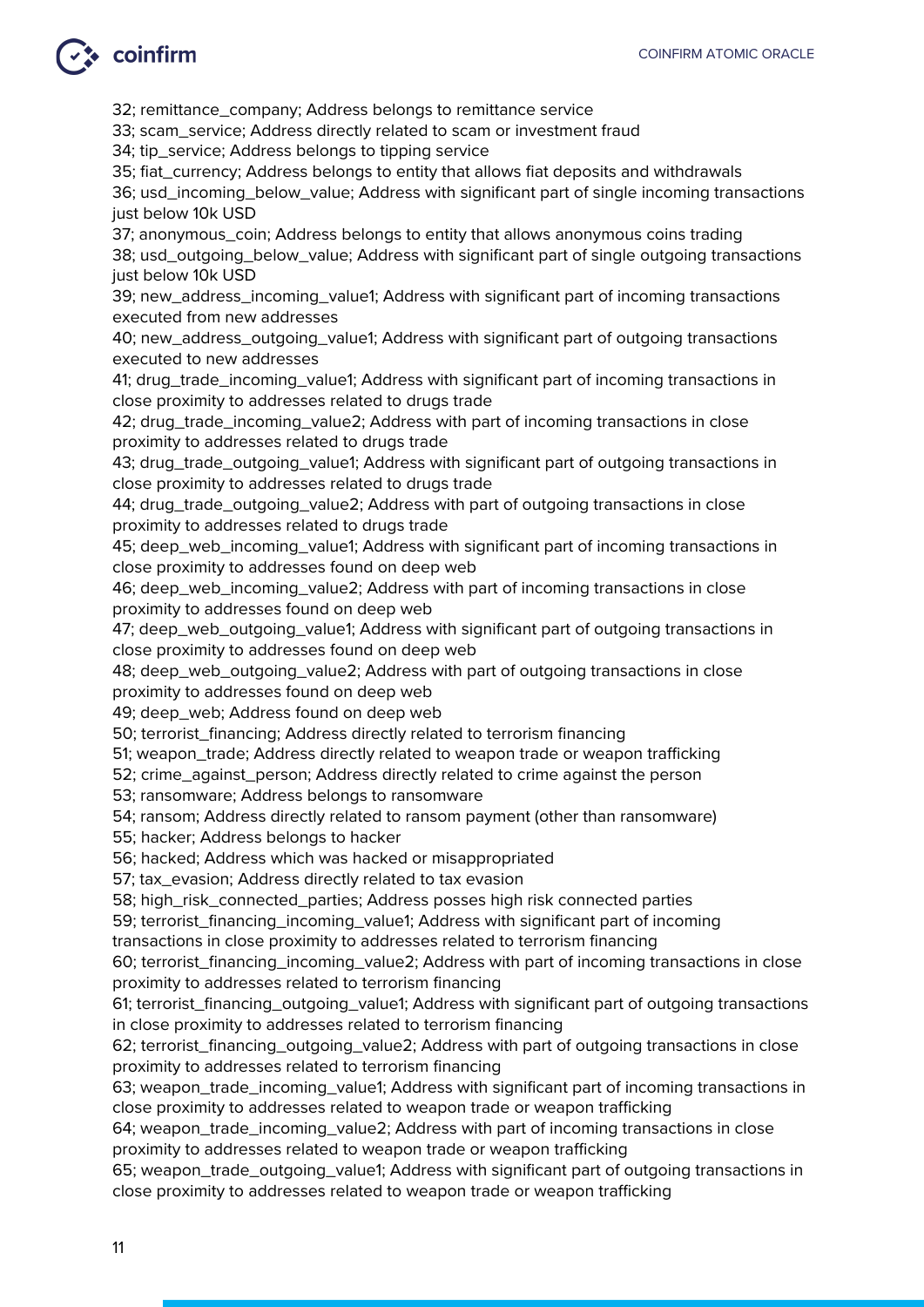## $\leftrightarrow$  coinfirm

32; remittance\_company; Address belongs to remittance service

33; scam\_service; Address directly related to scam or investment fraud

34; tip\_service; Address belongs to tipping service

35; fiat\_currency; Address belongs to entity that allows fiat deposits and withdrawals

36; usd\_incoming\_below\_value; Address with significant part of single incoming transactions just below 10k USD

37; anonymous coin; Address belongs to entity that allows anonymous coins trading 38; usd\_outgoing\_below\_value; Address with significant part of single outgoing transactions just below 10k USD

39; new\_address\_incoming\_value1; Address with significant part of incoming transactions executed from new addresses

40; new\_address\_outgoing\_value1; Address with significant part of outgoing transactions executed to new addresses

41; drug\_trade\_incoming\_value1; Address with significant part of incoming transactions in close proximity to addresses related to drugs trade

42; drug\_trade\_incoming\_value2; Address with part of incoming transactions in close proximity to addresses related to drugs trade

43; drug\_trade\_outgoing\_value1; Address with significant part of outgoing transactions in close proximity to addresses related to drugs trade

44; drug\_trade\_outgoing\_value2; Address with part of outgoing transactions in close proximity to addresses related to drugs trade

45; deep\_web\_incoming\_value1; Address with significant part of incoming transactions in close proximity to addresses found on deep web

46; deep\_web\_incoming\_value2; Address with part of incoming transactions in close proximity to addresses found on deep web

47; deep\_web\_outgoing\_value1; Address with significant part of outgoing transactions in close proximity to addresses found on deep web

48; deep\_web\_outgoing\_value2; Address with part of outgoing transactions in close proximity to addresses found on deep web

49; deep\_web; Address found on deep web

50; terrorist\_financing; Address directly related to terrorism financing

51; weapon\_trade; Address directly related to weapon trade or weapon trafficking

52; crime\_against\_person; Address directly related to crime against the person

53; ransomware; Address belongs to ransomware

54; ransom; Address directly related to ransom payment (other than ransomware)

55; hacker; Address belongs to hacker

56; hacked; Address which was hacked or misappropriated

57; tax\_evasion; Address directly related to tax evasion

58; high\_risk\_connected\_parties; Address posses high risk connected parties

59; terrorist\_financing\_incoming\_value1; Address with significant part of incoming

transactions in close proximity to addresses related to terrorism financing

60; terrorist\_financing\_incoming\_value2; Address with part of incoming transactions in close proximity to addresses related to terrorism financing

61; terrorist\_financing\_outgoing\_value1; Address with significant part of outgoing transactions in close proximity to addresses related to terrorism financing

62; terrorist\_financing\_outgoing\_value2; Address with part of outgoing transactions in close proximity to addresses related to terrorism financing

63; weapon\_trade\_incoming\_value1; Address with significant part of incoming transactions in close proximity to addresses related to weapon trade or weapon trafficking

64; weapon\_trade\_incoming\_value2; Address with part of incoming transactions in close proximity to addresses related to weapon trade or weapon trafficking

65; weapon\_trade\_outgoing\_value1; Address with significant part of outgoing transactions in close proximity to addresses related to weapon trade or weapon trafficking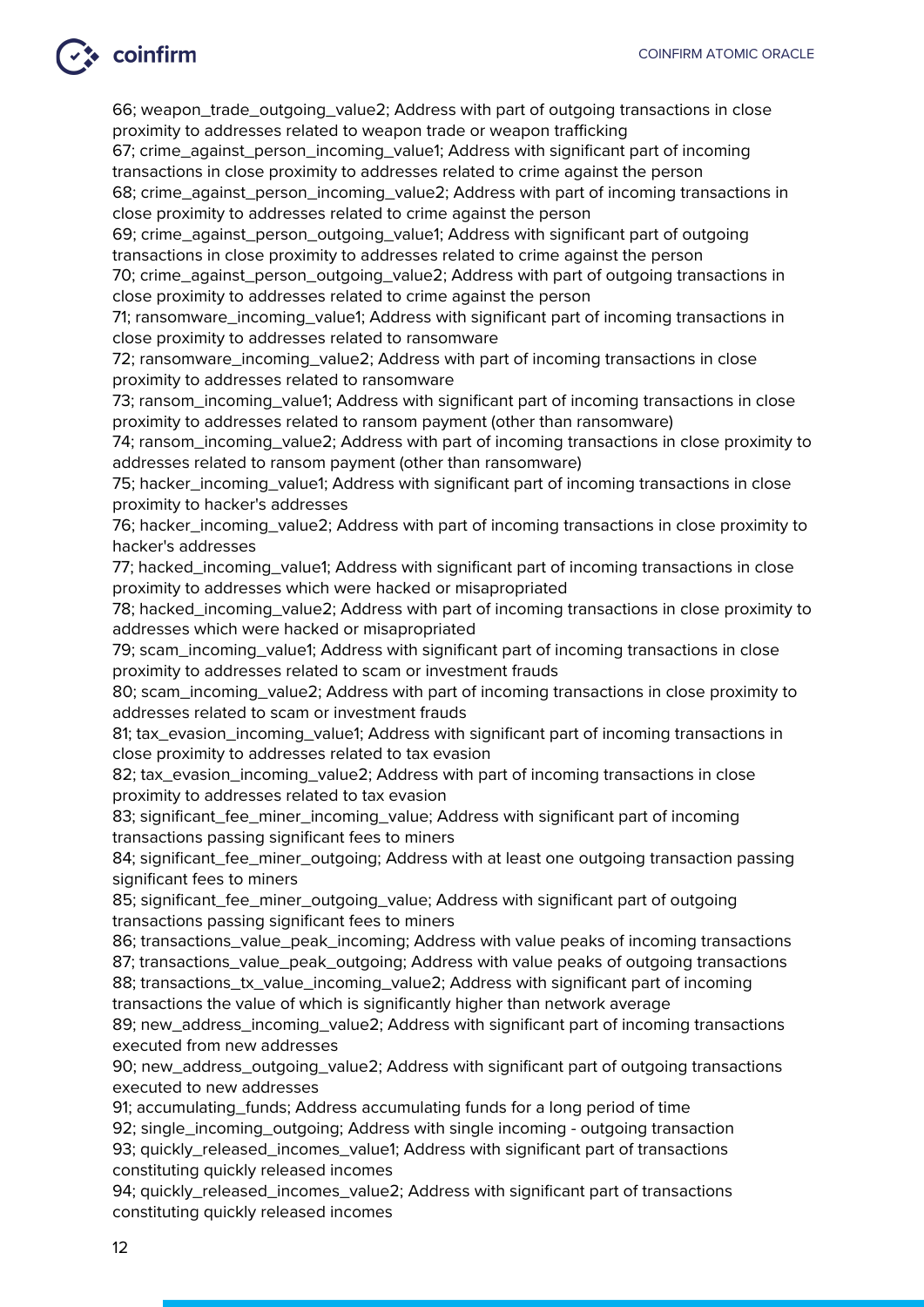### → coinfirm

66; weapon\_trade\_outgoing\_value2; Address with part of outgoing transactions in close proximity to addresses related to weapon trade or weapon trafficking

67; crime\_against\_person\_incoming\_value1; Address with significant part of incoming transactions in close proximity to addresses related to crime against the person

68; crime\_against\_person\_incoming\_value2; Address with part of incoming transactions in close proximity to addresses related to crime against the person

69; crime\_against\_person\_outgoing\_value1; Address with significant part of outgoing transactions in close proximity to addresses related to crime against the person

70; crime\_against\_person\_outgoing\_value2; Address with part of outgoing transactions in close proximity to addresses related to crime against the person

71; ransomware\_incoming\_value1; Address with significant part of incoming transactions in close proximity to addresses related to ransomware

72; ransomware\_incoming\_value2; Address with part of incoming transactions in close proximity to addresses related to ransomware

73; ransom\_incoming\_value1; Address with significant part of incoming transactions in close proximity to addresses related to ransom payment (other than ransomware)

74; ransom\_incoming\_value2; Address with part of incoming transactions in close proximity to addresses related to ransom payment (other than ransomware)

75; hacker\_incoming\_value1; Address with significant part of incoming transactions in close proximity to hacker's addresses

76; hacker\_incoming\_value2; Address with part of incoming transactions in close proximity to hacker's addresses

77; hacked\_incoming\_value1; Address with significant part of incoming transactions in close proximity to addresses which were hacked or misapropriated

78; hacked incoming value2; Address with part of incoming transactions in close proximity to addresses which were hacked or misapropriated

79; scam\_incoming\_value1; Address with significant part of incoming transactions in close proximity to addresses related to scam or investment frauds

80; scam\_incoming\_value2; Address with part of incoming transactions in close proximity to addresses related to scam or investment frauds

81; tax\_evasion\_incoming\_value1; Address with significant part of incoming transactions in close proximity to addresses related to tax evasion

82; tax\_evasion\_incoming\_value2; Address with part of incoming transactions in close proximity to addresses related to tax evasion

83; significant\_fee\_miner\_incoming\_value; Address with significant part of incoming transactions passing significant fees to miners

84; significant\_fee\_miner\_outgoing; Address with at least one outgoing transaction passing significant fees to miners

85; significant\_fee\_miner\_outgoing\_value; Address with significant part of outgoing transactions passing significant fees to miners

86; transactions\_value\_peak\_incoming; Address with value peaks of incoming transactions 87; transactions\_value\_peak\_outgoing; Address with value peaks of outgoing transactions

88; transactions\_tx\_value\_incoming\_value2; Address with significant part of incoming transactions the value of which is significantly higher than network average

89; new\_address\_incoming\_value2; Address with significant part of incoming transactions executed from new addresses

90; new\_address\_outgoing\_value2; Address with significant part of outgoing transactions executed to new addresses

91; accumulating\_funds; Address accumulating funds for a long period of time

92; single\_incoming\_outgoing; Address with single incoming - outgoing transaction

93; quickly\_released\_incomes\_value1; Address with significant part of transactions constituting quickly released incomes

94; quickly\_released\_incomes\_value2; Address with significant part of transactions constituting quickly released incomes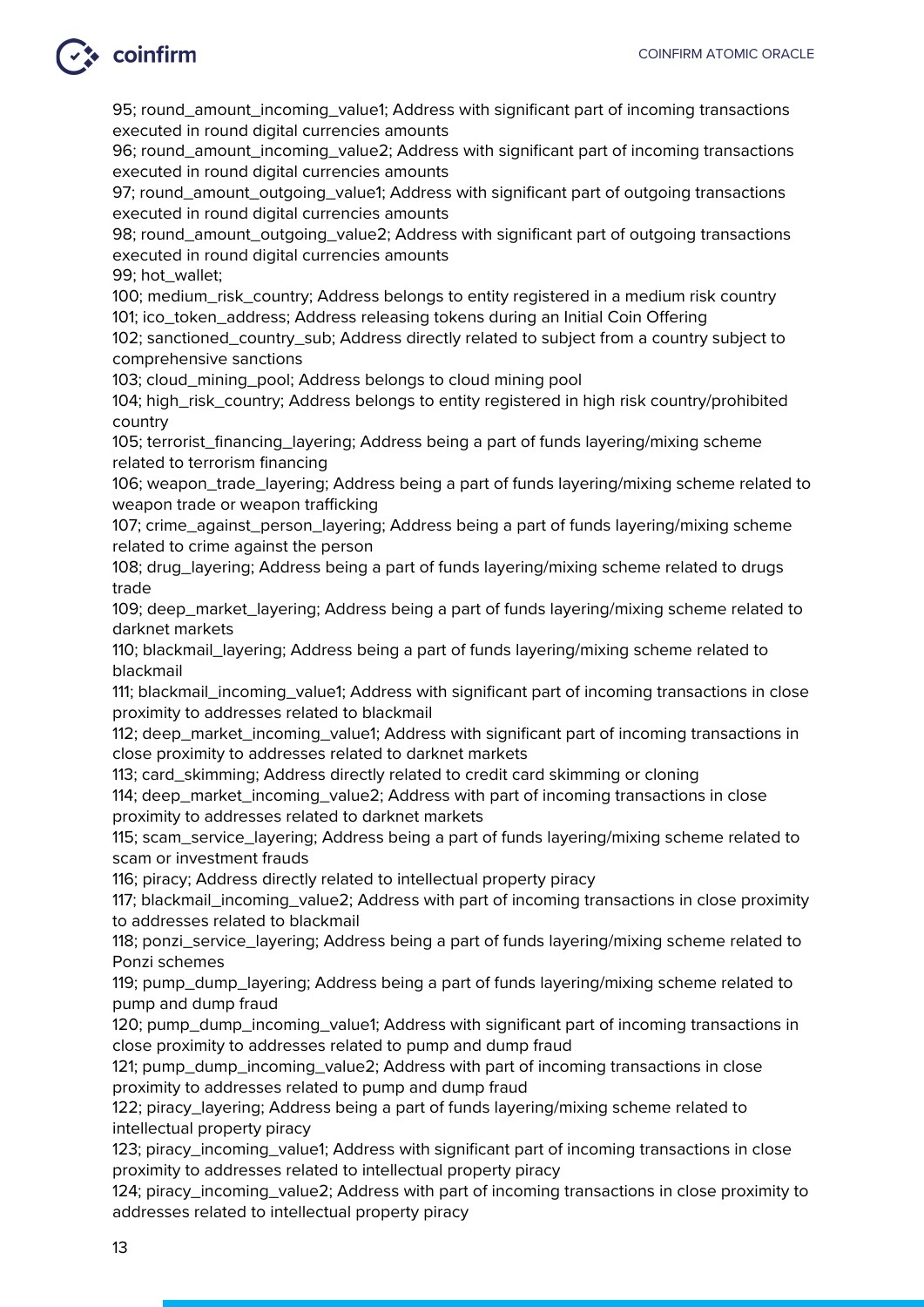95; round\_amount\_incoming\_value1; Address with significant part of incoming transactions executed in round digital currencies amounts

96; round\_amount\_incoming\_value2; Address with significant part of incoming transactions executed in round digital currencies amounts

97; round\_amount\_outgoing\_value1; Address with significant part of outgoing transactions executed in round digital currencies amounts

98; round\_amount\_outgoing\_value2; Address with significant part of outgoing transactions executed in round digital currencies amounts

99; hot\_wallet;

100; medium\_risk\_country; Address belongs to entity registered in a medium risk country 101; ico\_token\_address; Address releasing tokens during an Initial Coin Offering

102; sanctioned\_country\_sub; Address directly related to subject from a country subject to comprehensive sanctions

103; cloud\_mining\_pool; Address belongs to cloud mining pool

104; high risk country; Address belongs to entity registered in high risk country/prohibited country

105; terrorist\_financing\_layering; Address being a part of funds layering/mixing scheme related to terrorism financing

106; weapon\_trade\_layering; Address being a part of funds layering/mixing scheme related to weapon trade or weapon trafficking

107; crime\_against\_person\_layering; Address being a part of funds layering/mixing scheme related to crime against the person

108; drug\_layering; Address being a part of funds layering/mixing scheme related to drugs trade

109; deep\_market\_layering; Address being a part of funds layering/mixing scheme related to darknet markets

110; blackmail\_layering; Address being a part of funds layering/mixing scheme related to blackmail

111; blackmail incoming value1; Address with significant part of incoming transactions in close proximity to addresses related to blackmail

112; deep\_market\_incoming\_value1; Address with significant part of incoming transactions in close proximity to addresses related to darknet markets

113; card\_skimming; Address directly related to credit card skimming or cloning 114; deep\_market\_incoming\_value2; Address with part of incoming transactions in close

proximity to addresses related to darknet markets

115; scam\_service\_layering; Address being a part of funds layering/mixing scheme related to scam or investment frauds

116; piracy; Address directly related to intellectual property piracy

117; blackmail\_incoming\_value2; Address with part of incoming transactions in close proximity to addresses related to blackmail

118; ponzi\_service\_layering; Address being a part of funds layering/mixing scheme related to Ponzi schemes

119; pump\_dump\_layering; Address being a part of funds layering/mixing scheme related to pump and dump fraud

120; pump\_dump\_incoming\_value1; Address with significant part of incoming transactions in close proximity to addresses related to pump and dump fraud

121; pump\_dump\_incoming\_value2; Address with part of incoming transactions in close proximity to addresses related to pump and dump fraud

122; piracy\_layering; Address being a part of funds layering/mixing scheme related to intellectual property piracy

123; piracy incoming value1; Address with significant part of incoming transactions in close proximity to addresses related to intellectual property piracy

124; piracy\_incoming\_value2; Address with part of incoming transactions in close proximity to addresses related to intellectual property piracy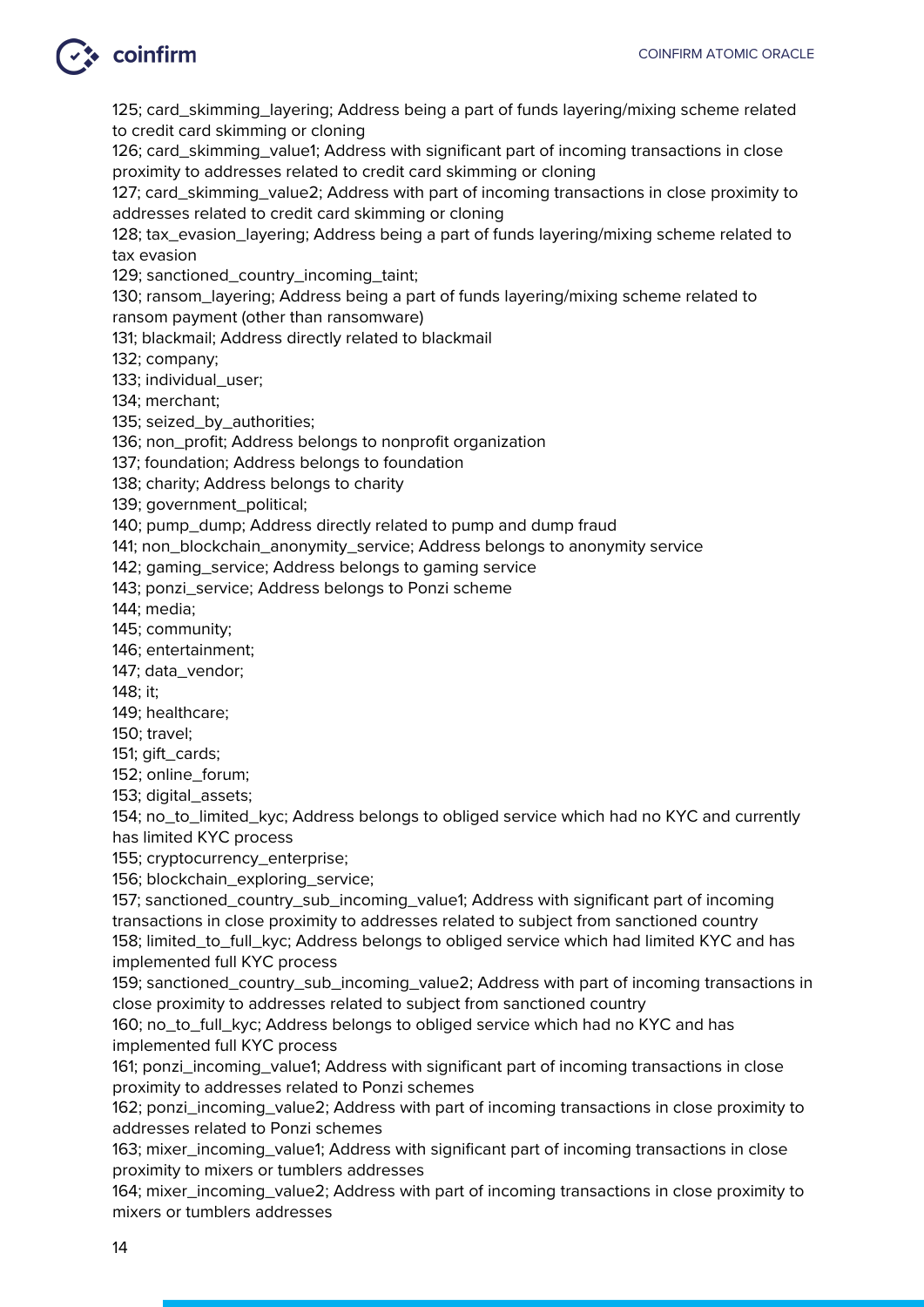125; card\_skimming\_layering; Address being a part of funds layering/mixing scheme related to credit card skimming or cloning

126; card\_skimming\_value1; Address with significant part of incoming transactions in close proximity to addresses related to credit card skimming or cloning

127; card\_skimming\_value2; Address with part of incoming transactions in close proximity to addresses related to credit card skimming or cloning

128; tax evasion layering; Address being a part of funds layering/mixing scheme related to tax evasion

129; sanctioned\_country\_incoming\_taint;

130; ransom\_layering; Address being a part of funds layering/mixing scheme related to ransom payment (other than ransomware)

131; blackmail; Address directly related to blackmail

132; company;

133; individual\_user;

134; merchant;

135; seized by authorities;

136; non\_profit; Address belongs to nonprofit organization

137; foundation; Address belongs to foundation

138; charity; Address belongs to charity

139; government\_political;

140; pump\_dump; Address directly related to pump and dump fraud

141; non\_blockchain\_anonymity\_service; Address belongs to anonymity service

142; gaming\_service; Address belongs to gaming service

143; ponzi\_service; Address belongs to Ponzi scheme

144; media;

145; community;

146; entertainment;

147; data\_vendor;

148; it;

149; healthcare;

150; travel;

151; gift\_cards;

152; online\_forum;

153; digital\_assets;

154; no\_to\_limited\_kyc; Address belongs to obliged service which had no KYC and currently has limited KYC process

155; cryptocurrency\_enterprise;

156; blockchain\_exploring\_service;

157; sanctioned\_country\_sub\_incoming\_value1; Address with significant part of incoming transactions in close proximity to addresses related to subject from sanctioned country 158; limited\_to\_full\_kyc; Address belongs to obliged service which had limited KYC and has implemented full KYC process

159; sanctioned\_country\_sub\_incoming\_value2; Address with part of incoming transactions in close proximity to addresses related to subject from sanctioned country

160; no\_to\_full\_kyc; Address belongs to obliged service which had no KYC and has implemented full KYC process

161; ponzi\_incoming\_value1; Address with significant part of incoming transactions in close proximity to addresses related to Ponzi schemes

162; ponzi\_incoming\_value2; Address with part of incoming transactions in close proximity to addresses related to Ponzi schemes

163; mixer incoming value1; Address with significant part of incoming transactions in close proximity to mixers or tumblers addresses

164; mixer\_incoming\_value2; Address with part of incoming transactions in close proximity to mixers or tumblers addresses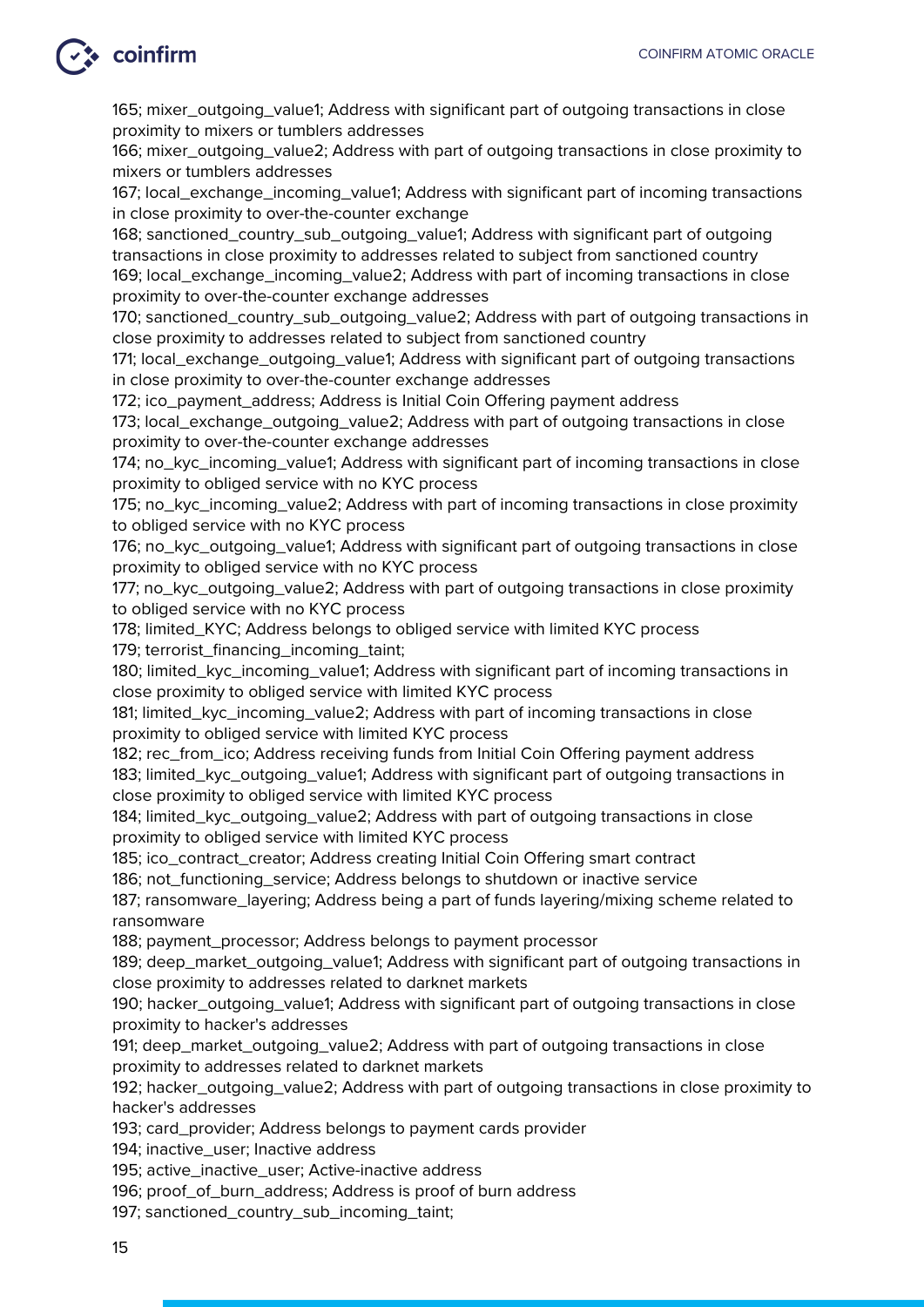### $\ddot{\bullet}$  coinfirm

165; mixer\_outgoing\_value1; Address with significant part of outgoing transactions in close proximity to mixers or tumblers addresses

166; mixer\_outgoing\_value2; Address with part of outgoing transactions in close proximity to mixers or tumblers addresses

167; local\_exchange\_incoming\_value1; Address with significant part of incoming transactions in close proximity to over-the-counter exchange

168; sanctioned\_country\_sub\_outgoing\_value1; Address with significant part of outgoing transactions in close proximity to addresses related to subject from sanctioned country 169; local\_exchange\_incoming\_value2; Address with part of incoming transactions in close proximity to over-the-counter exchange addresses

170; sanctioned\_country\_sub\_outgoing\_value2; Address with part of outgoing transactions in close proximity to addresses related to subject from sanctioned country

171; local\_exchange\_outgoing\_value1; Address with significant part of outgoing transactions in close proximity to over-the-counter exchange addresses

172; ico payment address; Address is Initial Coin Offering payment address

173; local\_exchange\_outgoing\_value2; Address with part of outgoing transactions in close proximity to over-the-counter exchange addresses

174; no\_kyc\_incoming\_value1; Address with significant part of incoming transactions in close proximity to obliged service with no KYC process

175; no\_kyc\_incoming\_value2; Address with part of incoming transactions in close proximity to obliged service with no KYC process

176; no\_kyc\_outgoing\_value1; Address with significant part of outgoing transactions in close proximity to obliged service with no KYC process

177; no\_kyc\_outgoing\_value2; Address with part of outgoing transactions in close proximity to obliged service with no KYC process

178; limited\_KYC; Address belongs to obliged service with limited KYC process

179; terrorist\_financing\_incoming\_taint;

180; limited\_kyc\_incoming\_value1; Address with significant part of incoming transactions in close proximity to obliged service with limited KYC process

181; limited\_kyc\_incoming\_value2; Address with part of incoming transactions in close proximity to obliged service with limited KYC process

182; rec\_from\_ico; Address receiving funds from Initial Coin Offering payment address 183; limited\_kyc\_outgoing\_value1; Address with significant part of outgoing transactions in close proximity to obliged service with limited KYC process

184; limited\_kyc\_outgoing\_value2; Address with part of outgoing transactions in close proximity to obliged service with limited KYC process

185; ico\_contract\_creator; Address creating Initial Coin Offering smart contract

186; not functioning service; Address belongs to shutdown or inactive service

187; ransomware\_layering; Address being a part of funds layering/mixing scheme related to ransomware

188; payment\_processor; Address belongs to payment processor

189; deep\_market\_outgoing\_value1; Address with significant part of outgoing transactions in close proximity to addresses related to darknet markets

190; hacker\_outgoing\_value1; Address with significant part of outgoing transactions in close proximity to hacker's addresses

191; deep\_market\_outgoing\_value2; Address with part of outgoing transactions in close proximity to addresses related to darknet markets

192; hacker\_outgoing\_value2; Address with part of outgoing transactions in close proximity to hacker's addresses

193; card\_provider; Address belongs to payment cards provider

194; inactive user; Inactive address

195; active\_inactive\_user; Active-inactive address

196; proof\_of\_burn\_address; Address is proof of burn address

197; sanctioned\_country\_sub\_incoming\_taint;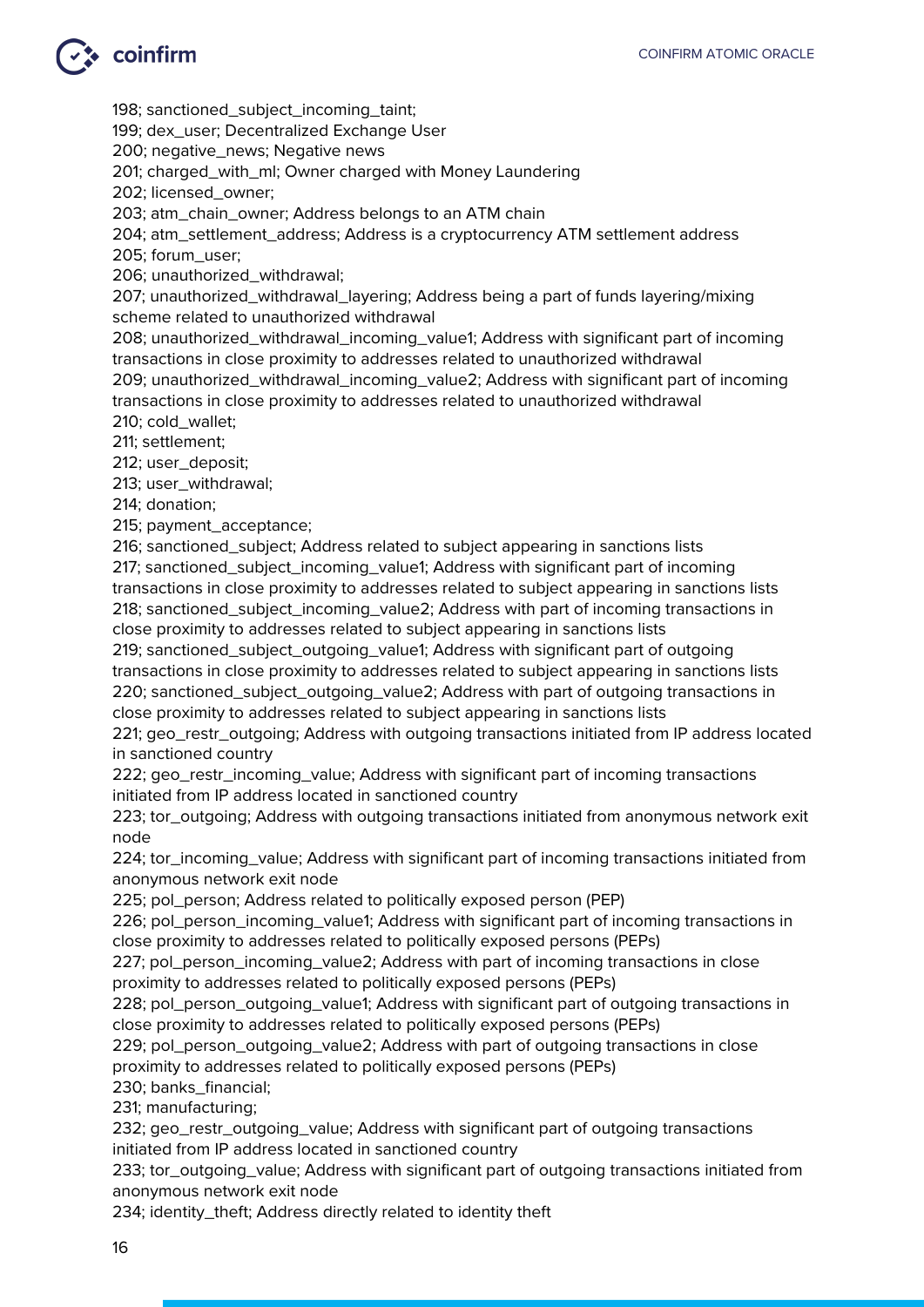### $\bullet$  coinfirm

198; sanctioned\_subject\_incoming\_taint;

199; dex\_user; Decentralized Exchange User

200; negative\_news; Negative news

201; charged\_with\_ml; Owner charged with Money Laundering

202; licensed\_owner;

203; atm\_chain\_owner; Address belongs to an ATM chain

204; atm\_settlement\_address; Address is a cryptocurrency ATM settlement address

205; forum\_user;

206; unauthorized\_withdrawal;

207; unauthorized\_withdrawal\_layering; Address being a part of funds layering/mixing scheme related to unauthorized withdrawal

208; unauthorized\_withdrawal\_incoming\_value1; Address with significant part of incoming transactions in close proximity to addresses related to unauthorized withdrawal 209; unauthorized\_withdrawal\_incoming\_value2; Address with significant part of incoming transactions in close proximity to addresses related to unauthorized withdrawal

210; cold\_wallet;

211; settlement;

212; user\_deposit;

213; user\_withdrawal;

214; donation;

215; payment\_acceptance;

216; sanctioned\_subject; Address related to subject appearing in sanctions lists

217; sanctioned\_subject\_incoming\_value1; Address with significant part of incoming transactions in close proximity to addresses related to subject appearing in sanctions lists 218; sanctioned subject incoming value2; Address with part of incoming transactions in

close proximity to addresses related to subject appearing in sanctions lists

219; sanctioned\_subject\_outgoing\_value1; Address with significant part of outgoing transactions in close proximity to addresses related to subject appearing in sanctions lists 220; sanctioned\_subject\_outgoing\_value2; Address with part of outgoing transactions in close proximity to addresses related to subject appearing in sanctions lists

221; geo\_restr\_outgoing; Address with outgoing transactions initiated from IP address located in sanctioned country

222; geo\_restr\_incoming\_value; Address with significant part of incoming transactions initiated from IP address located in sanctioned country

223; tor\_outgoing; Address with outgoing transactions initiated from anonymous network exit node

224; tor incoming value; Address with significant part of incoming transactions initiated from anonymous network exit node

225; pol\_person; Address related to politically exposed person (PEP)

226; pol\_person\_incoming\_value1; Address with significant part of incoming transactions in close proximity to addresses related to politically exposed persons (PEPs)

227; pol\_person\_incoming\_value2; Address with part of incoming transactions in close proximity to addresses related to politically exposed persons (PEPs)

228; pol\_person\_outgoing\_value1; Address with significant part of outgoing transactions in close proximity to addresses related to politically exposed persons (PEPs)

229; pol\_person\_outgoing\_value2; Address with part of outgoing transactions in close proximity to addresses related to politically exposed persons (PEPs)

230; banks\_financial;

231; manufacturing;

232; geo\_restr\_outgoing\_value; Address with significant part of outgoing transactions initiated from IP address located in sanctioned country

233; tor\_outgoing\_value; Address with significant part of outgoing transactions initiated from anonymous network exit node

234; identity\_theft; Address directly related to identity theft